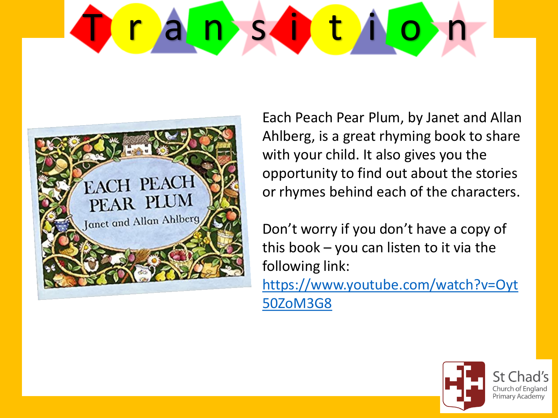# D r a n s d t i o n



Each Peach Pear Plum, by Janet and Allan Ahlberg, is a great rhyming book to share with your child. It also gives you the opportunity to find out about the stories or rhymes behind each of the characters.

Don't worry if you don't have a copy of this book – you can listen to it via the following link: [https://www.youtube.com/watch?v=Oyt](https://www.youtube.com/watch?v=Oyt50ZoM3G8)

50ZoM3G8



Church of England Primary Academy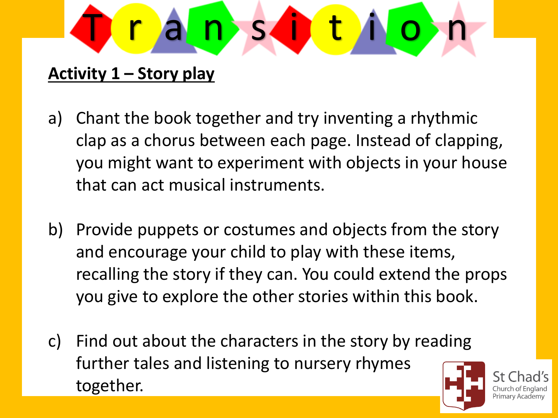

**Activity 1 – Story play**

- a) Chant the book together and try inventing a rhythmic clap as a chorus between each page. Instead of clapping, you might want to experiment with objects in your house that can act musical instruments.
- b) Provide puppets or costumes and objects from the story and encourage your child to play with these items, recalling the story if they can. You could extend the props you give to explore the other stories within this book.
- c) Find out about the characters in the story by reading further tales and listening to nursery rhymes together.



Primary Academy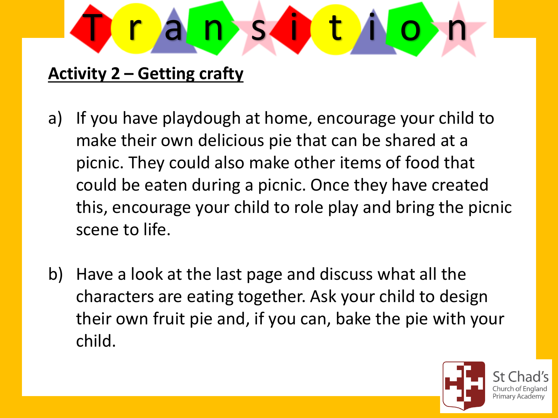

## **Activity 2 – Getting crafty**

- a) If you have playdough at home, encourage your child to make their own delicious pie that can be shared at a picnic. They could also make other items of food that could be eaten during a picnic. Once they have created this, encourage your child to role play and bring the picnic scene to life.
- b) Have a look at the last page and discuss what all the characters are eating together. Ask your child to design their own fruit pie and, if you can, bake the pie with your child.

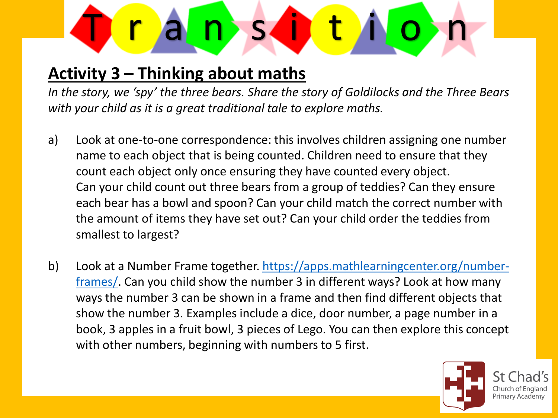

## **Activity 3 – Thinking about maths**

*In the story, we 'spy' the three bears. Share the story of Goldilocks and the Three Bears with your child as it is a great traditional tale to explore maths.* 

- a) Look at one-to-one correspondence: this involves children assigning one number name to each object that is being counted. Children need to ensure that they count each object only once ensuring they have counted every object. Can your child count out three bears from a group of teddies? Can they ensure each bear has a bowl and spoon? Can your child match the correct number with the amount of items they have set out? Can your child order the teddies from smallest to largest?
- b) [Look at a Number Frame together. https://apps.mathlearningcenter.org/number](https://apps.mathlearningcenter.org/number-frames/)frames/. Can you child show the number 3 in different ways? Look at how many ways the number 3 can be shown in a frame and then find different objects that show the number 3. Examples include a dice, door number, a page number in a book, 3 apples in a fruit bowl, 3 pieces of Lego. You can then explore this concept with other numbers, beginning with numbers to 5 first.



Primary Academy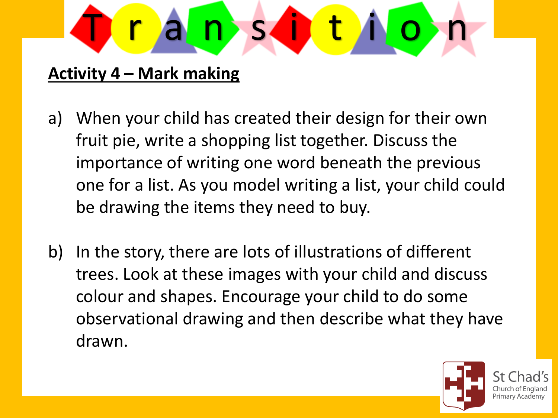

## **Activity 4 – Mark making**

- a) When your child has created their design for their own fruit pie, write a shopping list together. Discuss the importance of writing one word beneath the previous one for a list. As you model writing a list, your child could be drawing the items they need to buy.
- b) In the story, there are lots of illustrations of different trees. Look at these images with your child and discuss colour and shapes. Encourage your child to do some observational drawing and then describe what they have drawn.

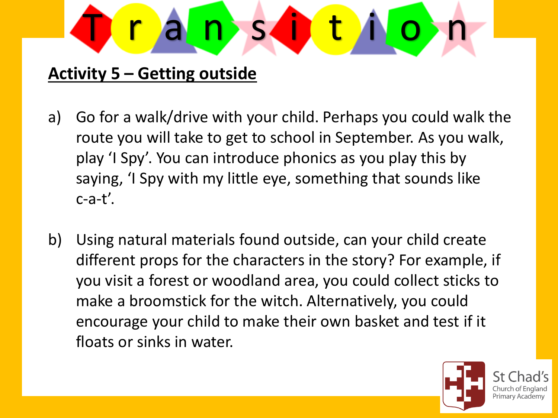

## **Activity 5 – Getting outside**

- a) Go for a walk/drive with your child. Perhaps you could walk the route you will take to get to school in September. As you walk, play 'I Spy'. You can introduce phonics as you play this by saying, 'I Spy with my little eye, something that sounds like  $c$ -a-t'.
- b) Using natural materials found outside, can your child create different props for the characters in the story? For example, if you visit a forest or woodland area, you could collect sticks to make a broomstick for the witch. Alternatively, you could encourage your child to make their own basket and test if it floats or sinks in water.



Primary Academy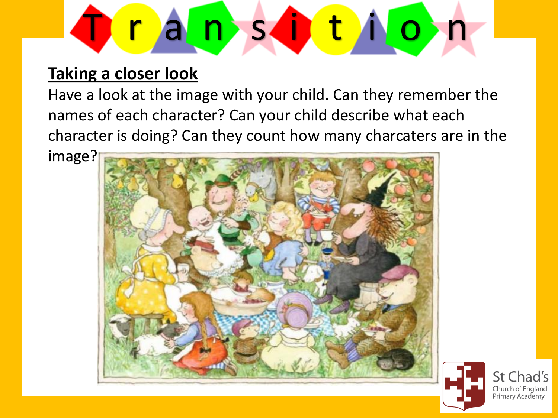

#### **Taking a closer look**

Have a look at the image with your child. Can they remember the names of each character? Can your child describe what each character is doing? Can they count how many charcaters are in the

image?





St Chad's Church of England Primary Academy